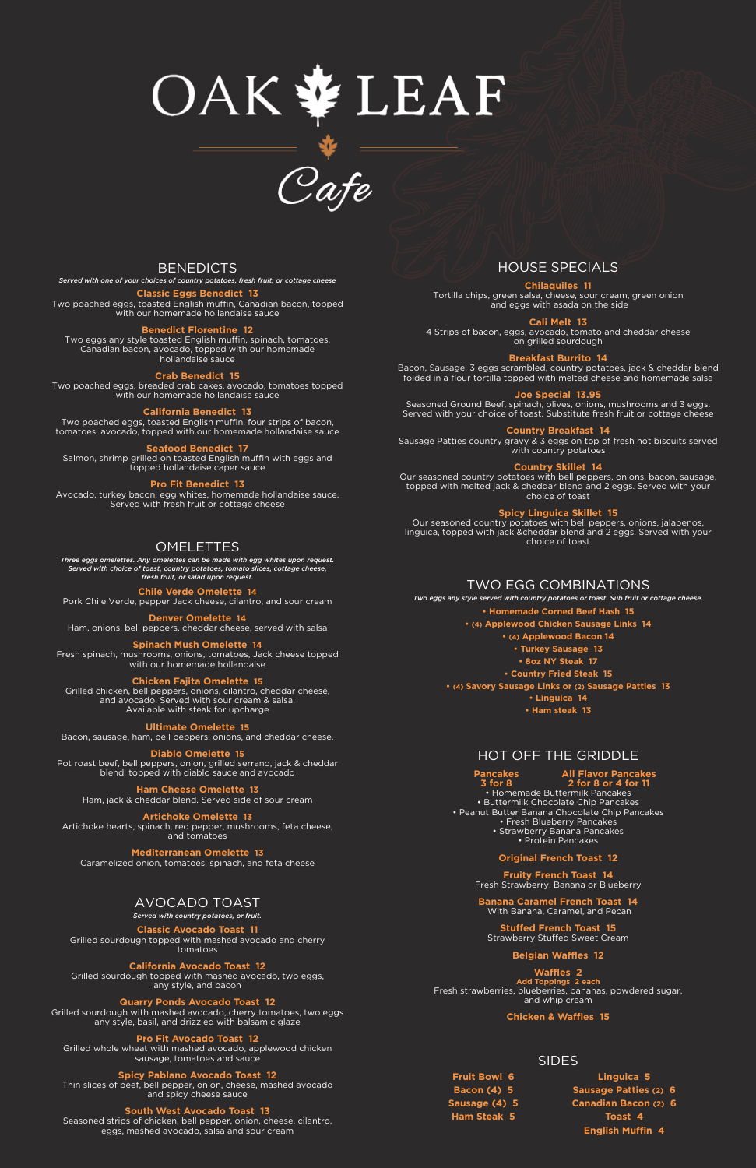# OAK \* LEAE

 $\overline{O_{a}f_{c}}$ 

BENEDICTS

*Served with one of your choices of country potatoes, fresh fruit, or cottage cheese*

Two poached eggs, toasted English muffin, Canadian bacon, topped with our homemade hollandaise sauce

## **Classic Eggs Benedict 13**

## **Benedict Florentine 12**

Two eggs any style toasted English muffin, spinach, tomatoes, Canadian bacon, avocado, topped with our homemade hollandaise sauce

**Crab Benedict 15** Two poached eggs, breaded crab cakes, avocado, tomatoes topped with our homemade hollandaise sauce

#### **California Benedict 13**

Two poached eggs, toasted English muffin, four strips of bacon, tomatoes, avocado, topped with our homemade hollandaise sauce

## **Seafood Benedict 17**

Salmon, shrimp grilled on toasted English muffin with eggs and topped hollandaise caper sauce

#### **Pro Fit Benedict 13**

Avocado, turkey bacon, egg whites, homemade hollandaise sauce. Served with fresh fruit or cottage cheese

## **OMELETTES**

## TWO EGG COMBINATIONS

*Two eggs any style served with country potatoes or toast. Sub fruit or cottage cheese.*

## **• Homemade Corned Beef Hash 15**

**• (4) Applewood Chicken Sausage Links 14**

- **(4) Applewood Bacon 14**
	- **Turkey Sausage 13**
	- **8oz NY Steak 17**
	- **Country Fried Steak 15**
- **(4) Savory Sausage Links or (2) Sausage Patties 13**
	- **Linguica 14**
	- **Ham steak 13**

*Three eggs omelettes. Any omelettes can be made with egg whites upon request. Served with choice of toast, country potatoes, tomato slices, cottage cheese, fresh fruit, or salad upon request.*

#### **Chile Verde Omelette 14**

Sausage Patties country gravy & 3 eggs on top of fresh hot biscuits served with country potatoes

Pork Chile Verde, pepper Jack cheese, cilantro, and sour cream

**Denver Omelette 14** Ham, onions, bell peppers, cheddar cheese, served with salsa

**Spinach Mush Omelette 14** Fresh spinach, mushrooms, onions, tomatoes, Jack cheese topped with our homemade hollandaise

## **Chicken Fajita Omelette 15**

Grilled chicken, bell peppers, onions, cilantro, cheddar cheese, and avocado. Served with sour cream & salsa. Available with steak for upcharge

## **Ultimate Omelette 15**

Bacon, sausage, ham, bell peppers, onions, and cheddar cheese.

## **Diablo Omelette 15**

Pot roast beef, bell peppers, onion, grilled serrano, jack & cheddar blend, topped with diablo sauce and avocado

## **Ham Cheese Omelette 13**

Ham, jack & cheddar blend. Served side of sour cream

## **Artichoke Omelette 13**

Artichoke hearts, spinach, red pepper, mushrooms, feta cheese, and tomatoes

## **Mediterranean Omelette 13**

Caramelized onion, tomatoes, spinach, and feta cheese

# HOUSE SPECIALS

## **Chilaquiles 11**

Tortilla chips, green salsa, cheese, sour cream, green onion and eggs with asada on the side

**Cali Melt 13**

4 Strips of bacon, eggs, avocado, tomato and cheddar cheese on grilled sourdough

## **Breakfast Burrito 14**

Bacon, Sausage, 3 eggs scrambled, country potatoes, jack & cheddar blend folded in a flour tortilla topped with melted cheese and homemade salsa

**Joe Special 13.95**

Seasoned Ground Beef, spinach, olives, onions, mushrooms and 3 eggs. Served with your choice of toast. Substitute fresh fruit or cottage cheese

**Country Breakfast 14**

## **Country Skillet 14**

Our seasoned country potatoes with bell peppers, onions, bacon, sausage, topped with melted jack & cheddar blend and 2 eggs. Served with your choice of toast

## **Spicy Linguica Skillet 15**

Our seasoned country potatoes with bell peppers, onions, jalapenos, linguica, topped with jack &cheddar blend and 2 eggs. Served with your choice of toast

# AVOCADO TOAST

*Served with country potatoes, or fruit.*

#### **Classic Avocado Toast 11**

Grilled sourdough topped with mashed avocado and cherry tomatoes

## **California Avocado Toast 12**

Grilled sourdough topped with mashed avocado, two eggs, any style, and bacon

## **Quarry Ponds Avocado Toast 12**

Grilled sourdough with mashed avocado, cherry tomatoes, two eggs any style, basil, and drizzled with balsamic glaze

## **Pro Fit Avocado Toast 12**

Grilled whole wheat with mashed avocado, applewood chicken sausage, tomatoes and sauce

## **Spicy Pablano Avocado Toast 12**

Thin slices of beef, bell pepper, onion, cheese, mashed avocado and spicy cheese sauce

## **South West Avocado Toast 13**

Seasoned strips of chicken, bell pepper, onion, cheese, cilantro, eggs, mashed avocado, salsa and sour cream

**Fruit Bowl 6 Bacon (4) 5 Sausage (4) 5 Ham Steak 5**

**Linguica 5 Sausage Patties (2) 6 Canadian Bacon (2) 6 Toast 4 English Muffin 4**

# HOT OFF THE GRIDDLE

**Original French Toast 12**

**Fruity French Toast 14** Fresh Strawberry, Banana or Blueberry

• Homemade Buttermilk Pancakes • Buttermilk Chocolate Chip Pancakes • Peanut Butter Banana Chocolate Chip Pancakes • Fresh Blueberry Pancakes • Strawberry Banana Pancakes • Protein Pancakes **2 for 8 or 4 for 11 3 for 8**

**Banana Caramel French Toast 14** With Banana, Caramel, and Pecan

**Stuffed French Toast 15** Strawberry Stuffed Sweet Cream

## **Belgian Waffles 12**

**Waffles 2 Add Toppings 2 each** Fresh strawberries, blueberries, bananas, powdered sugar, and whip cream

## **Chicken & Waffles 15**

**All Flavor Pancakes**

**Pancakes**

SIDES